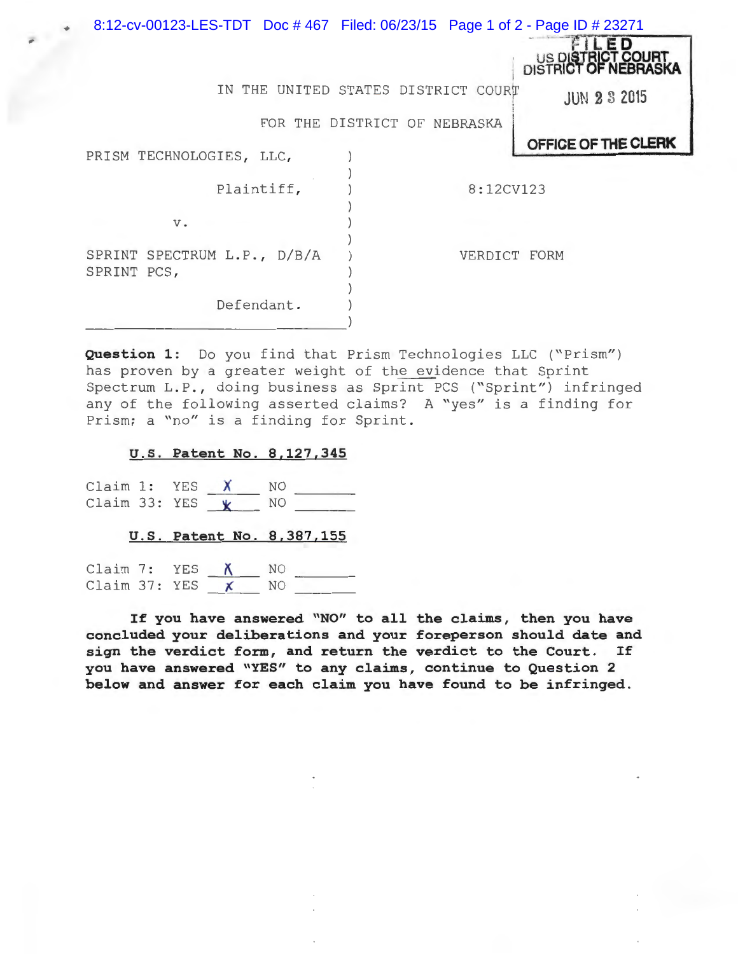| 8:12-cv-00123-LES-TDT Doc #467 Filed: 06/23/15 Page 1 of 2 - Page ID #23271 |                                     |                                                   |
|-----------------------------------------------------------------------------|-------------------------------------|---------------------------------------------------|
|                                                                             |                                     | US DI <b>STRICT COURT</b><br>DISTRICT OF NEBRASKA |
|                                                                             | IN THE UNITED STATES DISTRICT COURT | <b>JUN 2 3 2015</b>                               |
|                                                                             | FOR THE DISTRICT OF NEBRASKA        |                                                   |
| PRISM TECHNOLOGIES, LLC,                                                    |                                     | OFFICE OF THE CLERK                               |
| Plaintiff,                                                                  | 8:12CV123                           |                                                   |
| v.                                                                          |                                     |                                                   |
| SPRINT SPECTRUM L.P., D/B/A<br>SPRINT PCS,                                  | VERDICT FORM                        |                                                   |
| Defendant.                                                                  |                                     |                                                   |

Question 1: Do you find that Prism Technologies LLC ("Prism") has proven by a greater weight of the evidence that Sprint Spectrum L.P., doing business as Sprint PCS ("Sprint") infringed any of the following asserted claims? A "yes" is a finding for Prism; a "no" is a finding for Sprint.

## **U.S. Patent No. 8,127,345**

Claim 1: YES X NO Claim 33: YES  $\mathbf{x}$  NO

## **U.S. Patent No. 8,387,155**

Claim 7: YES **X** NO Claim 37: YES  $\overline{\mathbf{x}}$  NO

**If you have answered "NO" to all the claims, then you have concluded your deliberations and your foreperson should date and sign the verdict form, and return the verdict to the Court. If you have answered "YES" to any claims, continue to Question 2 below and answer for each claim you have found to be infringed.**